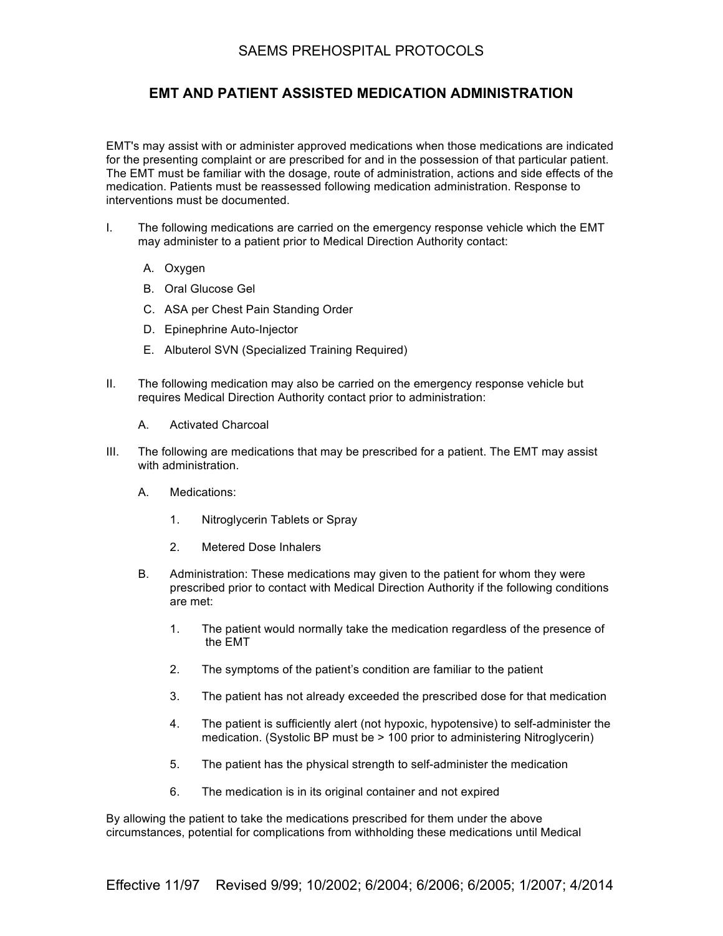## SAEMS PREHOSPITAL PROTOCOLS

## **EMT AND PATIENT ASSISTED MEDICATION ADMINISTRATION**

EMT's may assist with or administer approved medications when those medications are indicated for the presenting complaint or are prescribed for and in the possession of that particular patient. The EMT must be familiar with the dosage, route of administration, actions and side effects of the medication. Patients must be reassessed following medication administration. Response to interventions must be documented.

- I. The following medications are carried on the emergency response vehicle which the EMT may administer to a patient prior to Medical Direction Authority contact:
	- A. Oxygen
	- B. Oral Glucose Gel
	- C. ASA per Chest Pain Standing Order
	- D. Epinephrine Auto-Injector
	- E. Albuterol SVN (Specialized Training Required)
- II. The following medication may also be carried on the emergency response vehicle but requires Medical Direction Authority contact prior to administration:
	- A. Activated Charcoal
- III. The following are medications that may be prescribed for a patient. The EMT may assist with administration.
	- A. Medications:
		- 1. Nitroglycerin Tablets or Spray
		- 2. Metered Dose Inhalers
	- B. Administration: These medications may given to the patient for whom they were prescribed prior to contact with Medical Direction Authority if the following conditions are met:
		- 1. The patient would normally take the medication regardless of the presence of the EMT
		- 2. The symptoms of the patient's condition are familiar to the patient
		- 3. The patient has not already exceeded the prescribed dose for that medication
		- 4. The patient is sufficiently alert (not hypoxic, hypotensive) to self-administer the medication. (Systolic BP must be > 100 prior to administering Nitroglycerin)
		- 5. The patient has the physical strength to self-administer the medication
		- 6. The medication is in its original container and not expired

By allowing the patient to take the medications prescribed for them under the above circumstances, potential for complications from withholding these medications until Medical